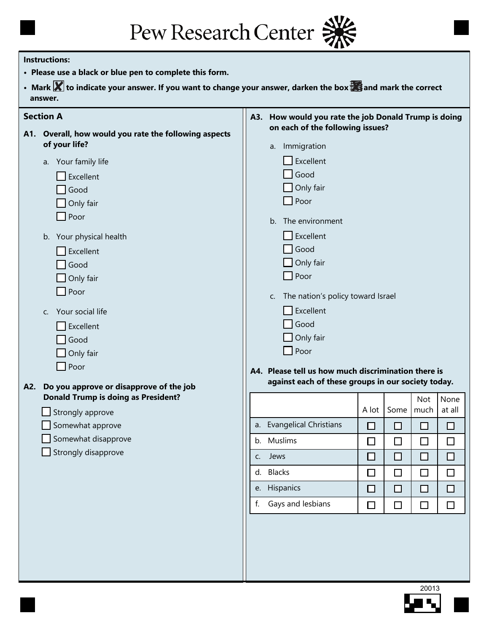Pew Research Center

### **Instructions:**

- **Please use a black or blue pen to complete this form.**
- Mark **X** to indicate your answer. If you want to change your answer, darken the box  $\frac{1}{2}$  and mark the correct  **answer.**

|     | <b>Section A</b>                                  |    | A3. How would you rate the job Donald Trump is doing                                                      |        |        |             |                |
|-----|---------------------------------------------------|----|-----------------------------------------------------------------------------------------------------------|--------|--------|-------------|----------------|
| A1. | Overall, how would you rate the following aspects |    | on each of the following issues?                                                                          |        |        |             |                |
|     | of your life?                                     |    | a. Immigration                                                                                            |        |        |             |                |
|     | a. Your family life                               |    | Excellent                                                                                                 |        |        |             |                |
|     | Excellent                                         |    | $\Box$ Good                                                                                               |        |        |             |                |
|     | Good                                              |    | $\Box$ Only fair                                                                                          |        |        |             |                |
|     | Only fair                                         |    | Poor                                                                                                      |        |        |             |                |
|     | Poor                                              |    | The environment<br>b.                                                                                     |        |        |             |                |
|     | b. Your physical health                           |    | Excellent                                                                                                 |        |        |             |                |
|     | Excellent                                         |    | Good                                                                                                      |        |        |             |                |
|     | Good                                              |    | $\Box$ Only fair                                                                                          |        |        |             |                |
|     | Only fair                                         |    | $\Box$ Poor                                                                                               |        |        |             |                |
|     | Poor                                              |    | The nation's policy toward Israel<br>C.                                                                   |        |        |             |                |
|     | Your social life<br>C.                            |    | $\Box$ Excellent                                                                                          |        |        |             |                |
|     | Excellent                                         |    | $\Box$ Good                                                                                               |        |        |             |                |
|     | Good                                              |    | $\Box$ Only fair                                                                                          |        |        |             |                |
|     | Only fair                                         |    | $\Box$ Poor                                                                                               |        |        |             |                |
|     | $\Box$ Poor                                       |    |                                                                                                           |        |        |             |                |
|     |                                                   |    | A4. Please tell us how much discrimination there is<br>against each of these groups in our society today. |        |        |             |                |
| A2. | Do you approve or disapprove of the job           |    |                                                                                                           |        |        |             |                |
|     | <b>Donald Trump is doing as President?</b>        |    |                                                                                                           | A lot  | Some   | Not<br>much | None<br>at all |
|     | Strongly approve                                  |    | <b>Evangelical Christians</b>                                                                             |        |        |             |                |
|     | Somewhat approve<br>Somewhat disapprove           | a. |                                                                                                           | □      | □      | $\Box$      | □              |
|     | Strongly disapprove                               |    | b. Muslims                                                                                                | $\Box$ | $\Box$ | $\Box$      | $\Box$         |
|     |                                                   | C. | Jews                                                                                                      | □      | □      | $\Box$      | □              |
|     |                                                   |    | d. Blacks                                                                                                 | $\Box$ | $\Box$ | $\Box$      | $\Box$         |
|     |                                                   |    | e. Hispanics                                                                                              | $\Box$ | $\Box$ | $\Box$      | $\Box$         |
|     |                                                   |    | f. Gays and lesbians                                                                                      | $\Box$ | $\Box$ | $\Box$      | $\Box$         |
|     |                                                   |    |                                                                                                           |        |        |             |                |

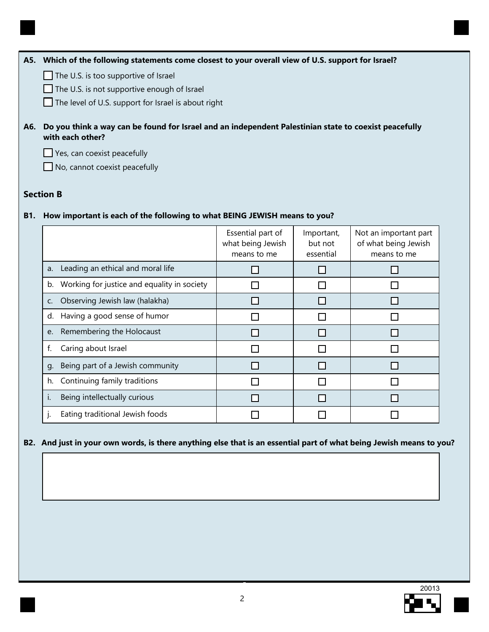### **A5. Which of the following statements come closest to your overall view of U.S. support for Israel?**

 $\Box$  The U.S. is too supportive of Israel

The U.S. is not supportive enough of Israel

 $\Box$  The level of U.S. support for Israel is about right

**A6. Do you think a way can be found for Israel and an independent Palestinian state to coexist peacefully with each other?**

Yes, can coexist peacefully

No, cannot coexist peacefully

# **Section B**

# **B1. How important is each of the following to what BEING JEWISH means to you?**

|    |                                             | Essential part of<br>what being Jewish<br>means to me | Important,<br>but not<br>essential | Not an important part<br>of what being Jewish<br>means to me |
|----|---------------------------------------------|-------------------------------------------------------|------------------------------------|--------------------------------------------------------------|
| a. | Leading an ethical and moral life           |                                                       |                                    |                                                              |
| b. | Working for justice and equality in society |                                                       |                                    |                                                              |
| C. | Observing Jewish law (halakha)              |                                                       |                                    |                                                              |
| d. | Having a good sense of humor                |                                                       |                                    |                                                              |
| e. | Remembering the Holocaust                   |                                                       |                                    |                                                              |
| f. | Caring about Israel                         |                                                       |                                    |                                                              |
| q. | Being part of a Jewish community            |                                                       |                                    |                                                              |
| h. | Continuing family traditions                |                                                       |                                    |                                                              |
| i. | Being intellectually curious                |                                                       |                                    |                                                              |
|    | Eating traditional Jewish foods             |                                                       |                                    |                                                              |

## **B2. And just in your own words, is there anything else that is an essential part of what being Jewish means to you?**

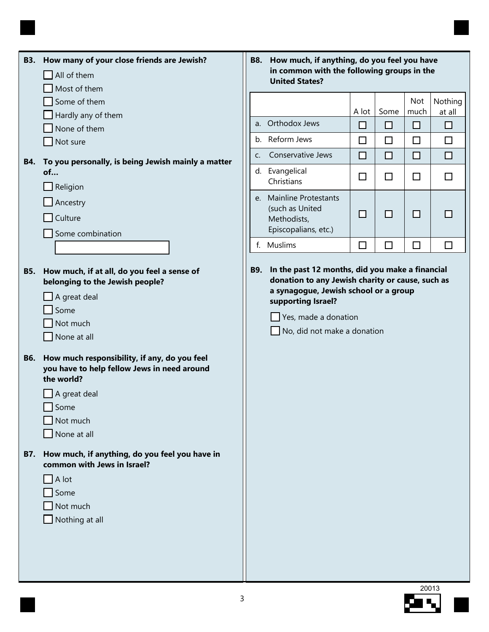|            | B3. How many of your close friends are Jewish?<br>All of them<br>Most of them                                                                                            |             | B8. How much, if anything, do you feel you have<br>in common with the following groups in the<br><b>United States?</b>                                                                                                           |        |        |             |                   |
|------------|--------------------------------------------------------------------------------------------------------------------------------------------------------------------------|-------------|----------------------------------------------------------------------------------------------------------------------------------------------------------------------------------------------------------------------------------|--------|--------|-------------|-------------------|
|            | Some of them<br>Hardly any of them                                                                                                                                       |             |                                                                                                                                                                                                                                  | A lot  | Some   | Not<br>much | Nothing<br>at all |
|            | None of them                                                                                                                                                             | a.          | Orthodox Jews                                                                                                                                                                                                                    | □      | □      | $\Box$      | ◻                 |
|            | Not sure                                                                                                                                                                 |             | b. Reform Jews                                                                                                                                                                                                                   | $\Box$ | $\Box$ | $\Box$      | $\Box$            |
| <b>B4.</b> | To you personally, is being Jewish mainly a matter                                                                                                                       | C.          | Conservative Jews                                                                                                                                                                                                                | □      | $\Box$ | $\Box$      | □                 |
|            | of<br>Religion                                                                                                                                                           |             | d. Evangelical<br>Christians                                                                                                                                                                                                     | $\Box$ | $\Box$ | $\Box$      | $\Box$            |
|            | Ancestry<br>Culture<br>Some combination                                                                                                                                  | $e_{\cdot}$ | <b>Mainline Protestants</b><br>(such as United<br>Methodists,<br>Episcopalians, etc.)                                                                                                                                            | □      | □      | $\Box$      |                   |
|            |                                                                                                                                                                          |             | f. Muslims                                                                                                                                                                                                                       | $\Box$ | $\Box$ | $\Box$      | $\Box$            |
| <b>B5.</b> | How much, if at all, do you feel a sense of<br>belonging to the Jewish people?<br>A great deal<br>Some<br>Not much<br>None at all                                        | <b>B9.</b>  | In the past 12 months, did you make a financial<br>donation to any Jewish charity or cause, such as<br>a synagogue, Jewish school or a group<br>supporting Israel?<br>Yes, made a donation<br>$\Box$ No, did not make a donation |        |        |             |                   |
| <b>B6.</b> | How much responsibility, if any, do you feel<br>you have to help fellow Jews in need around<br>the world?<br>$\Box$ A great deal<br>−<br>Some<br>Not much<br>None at all |             |                                                                                                                                                                                                                                  |        |        |             |                   |
| <b>B7.</b> | How much, if anything, do you feel you have in<br>common with Jews in Israel?<br>$\Box$ A lot<br>Some<br>Not much<br>Nothing at all                                      |             |                                                                                                                                                                                                                                  |        |        |             |                   |

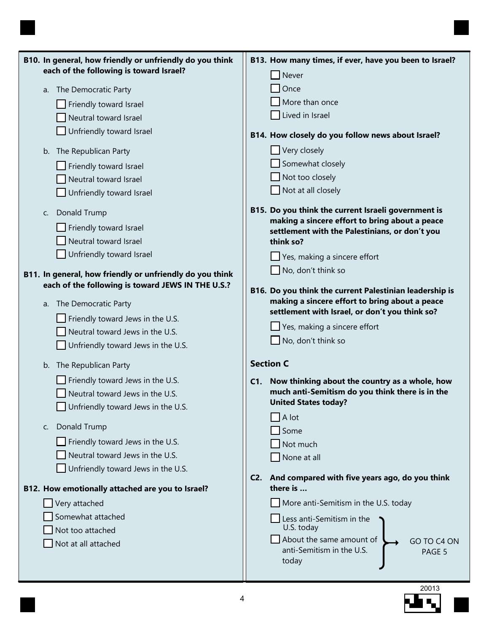| B10. In general, how friendly or unfriendly do you think<br>each of the following is toward Israel? | B13. How many times, if ever, have you been to Israel?                                                    |
|-----------------------------------------------------------------------------------------------------|-----------------------------------------------------------------------------------------------------------|
|                                                                                                     | Never                                                                                                     |
| The Democratic Party<br>a.                                                                          | Once                                                                                                      |
| Friendly toward Israel                                                                              | More than once                                                                                            |
| Neutral toward Israel                                                                               | Lived in Israel                                                                                           |
| Unfriendly toward Israel                                                                            | B14. How closely do you follow news about Israel?                                                         |
| The Republican Party<br>b.                                                                          | Very closely                                                                                              |
| Friendly toward Israel                                                                              | Somewhat closely                                                                                          |
| Neutral toward Israel                                                                               | Not too closely                                                                                           |
| Unfriendly toward Israel                                                                            | Not at all closely                                                                                        |
|                                                                                                     |                                                                                                           |
| Donald Trump<br>C.                                                                                  | B15. Do you think the current Israeli government is<br>making a sincere effort to bring about a peace     |
| Friendly toward Israel                                                                              | settlement with the Palestinians, or don't you                                                            |
| Neutral toward Israel                                                                               | think so?                                                                                                 |
| Unfriendly toward Israel                                                                            | Yes, making a sincere effort                                                                              |
| B11. In general, how friendly or unfriendly do you think                                            | No, don't think so                                                                                        |
| each of the following is toward JEWS IN THE U.S.?                                                   |                                                                                                           |
|                                                                                                     | B16. Do you think the current Palestinian leadership is<br>making a sincere effort to bring about a peace |
| The Democratic Party<br>a.                                                                          | settlement with Israel, or don't you think so?                                                            |
| Friendly toward Jews in the U.S.                                                                    | Yes, making a sincere effort                                                                              |
| Neutral toward Jews in the U.S.                                                                     | No, don't think so                                                                                        |
| Unfriendly toward Jews in the U.S.                                                                  |                                                                                                           |
| The Republican Party<br>b.                                                                          | <b>Section C</b>                                                                                          |
| Friendly toward Jews in the U.S.                                                                    | C1. Now thinking about the country as a whole, how                                                        |
| Neutral toward Jews in the U.S.                                                                     | much anti-Semitism do you think there is in the                                                           |
| Unfriendly toward Jews in the U.S.                                                                  | <b>United States today?</b>                                                                               |
| Donald Trump                                                                                        | A lot                                                                                                     |
| C.                                                                                                  | Some                                                                                                      |
| Friendly toward Jews in the U.S.                                                                    | Not much                                                                                                  |
| Neutral toward Jews in the U.S.                                                                     | None at all                                                                                               |
| Unfriendly toward Jews in the U.S.                                                                  | And compared with five years ago, do you think<br>C2.                                                     |
| B12. How emotionally attached are you to Israel?                                                    | there is                                                                                                  |
| Very attached                                                                                       | More anti-Semitism in the U.S. today                                                                      |
| Somewhat attached                                                                                   | Less anti-Semitism in the                                                                                 |
| Not too attached                                                                                    | U.S. today                                                                                                |
| Not at all attached                                                                                 | About the same amount of<br>GO TO C4 ON<br>anti-Semitism in the U.S.                                      |
|                                                                                                     | PAGE 5<br>today                                                                                           |
|                                                                                                     |                                                                                                           |

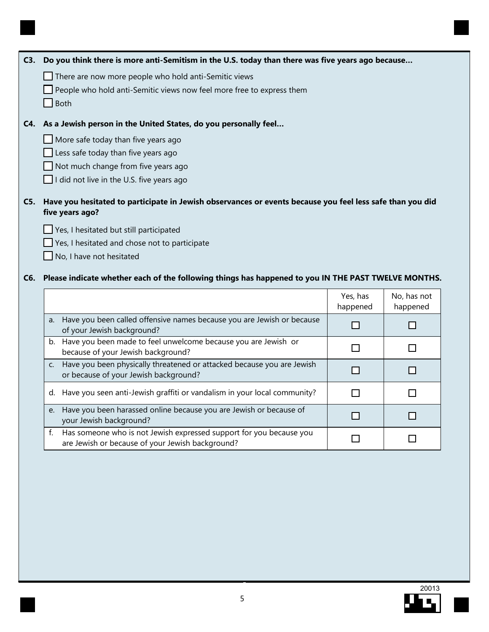| C3. Do you think there is more anti-Semitism in the U.S. today than there was five years ago because                             |                      |                         |
|----------------------------------------------------------------------------------------------------------------------------------|----------------------|-------------------------|
| There are now more people who hold anti-Semitic views                                                                            |                      |                         |
| People who hold anti-Semitic views now feel more free to express them                                                            |                      |                         |
| <b>Both</b>                                                                                                                      |                      |                         |
| C4. As a Jewish person in the United States, do you personally feel                                                              |                      |                         |
| More safe today than five years ago                                                                                              |                      |                         |
| Less safe today than five years ago                                                                                              |                      |                         |
| Not much change from five years ago                                                                                              |                      |                         |
| I did not live in the U.S. five years ago                                                                                        |                      |                         |
| C5. Have you hesitated to participate in Jewish observances or events because you feel less safe than you did<br>five years ago? |                      |                         |
| Yes, I hesitated but still participated                                                                                          |                      |                         |
| Yes, I hesitated and chose not to participate                                                                                    |                      |                         |
|                                                                                                                                  |                      |                         |
| No, I have not hesitated                                                                                                         |                      |                         |
| C6. Please indicate whether each of the following things has happened to you IN THE PAST TWELVE MONTHS.                          |                      |                         |
|                                                                                                                                  | Yes, has<br>happened | No, has not<br>happened |
| Have you been called offensive names because you are Jewish or because<br>a.<br>of your Jewish background?                       | □                    | □                       |
| b. Have you been made to feel unwelcome because you are Jewish or<br>because of your Jewish background?                          | П                    | П                       |
| Have you been physically threatened or attacked because you are Jewish<br>C.<br>or because of your Jewish background?            | □                    | □                       |
| d. Have you seen anti-Jewish graffiti or vandalism in your local community?                                                      | $\mathsf{L}$         | l 1                     |
| e. Have you been harassed online because you are Jewish or because of<br>your Jewish background?                                 |                      |                         |

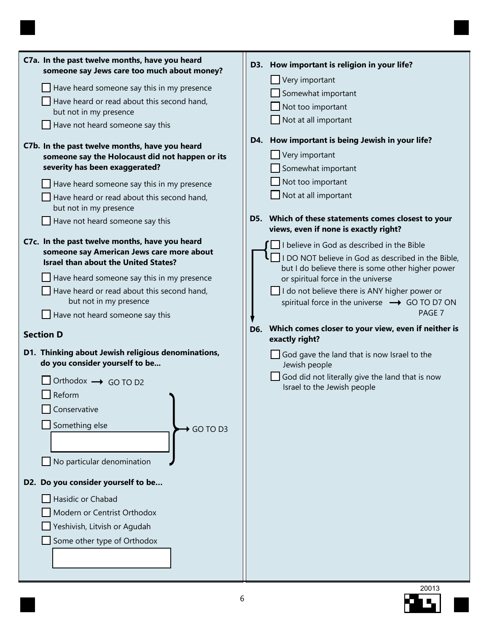| C7a. In the past twelve months, have you heard<br>someone say Jews care too much about money? | D3. How important is religion in your life?                                                  |
|-----------------------------------------------------------------------------------------------|----------------------------------------------------------------------------------------------|
| $\Box$ Have heard someone say this in my presence                                             | Very important                                                                               |
| Have heard or read about this second hand,                                                    | Somewhat important                                                                           |
| but not in my presence                                                                        | Not too important                                                                            |
| Have not heard someone say this                                                               | $\Box$ Not at all important                                                                  |
| C7b. In the past twelve months, have you heard                                                | D4. How important is being Jewish in your life?                                              |
| someone say the Holocaust did not happen or its                                               | $\Box$ Very important                                                                        |
| severity has been exaggerated?                                                                | Somewhat important                                                                           |
| $\Box$ Have heard someone say this in my presence                                             | $\Box$ Not too important                                                                     |
| Have heard or read about this second hand,                                                    | $\Box$ Not at all important                                                                  |
| but not in my presence                                                                        |                                                                                              |
| Have not heard someone say this                                                               | D5. Which of these statements comes closest to your<br>views, even if none is exactly right? |
| C7c. In the past twelve months, have you heard                                                | $\Box$ I believe in God as described in the Bible                                            |
| someone say American Jews care more about                                                     | $\mathsf{l}$ I DO NOT believe in God as described in the Bible,                              |
| <b>Israel than about the United States?</b>                                                   | but I do believe there is some other higher power                                            |
| Have heard someone say this in my presence                                                    | or spiritual force in the universe                                                           |
| Have heard or read about this second hand,                                                    | I do not believe there is ANY higher power or                                                |
| but not in my presence                                                                        | spiritual force in the universe → GO TO D7 ON                                                |
| $\Box$ Have not heard someone say this                                                        | PAGE 7                                                                                       |
| <b>Section D</b>                                                                              | D6. Which comes closer to your view, even if neither is                                      |
|                                                                                               | exactly right?                                                                               |
| D1. Thinking about Jewish religious denominations,                                            | $\Box$ God gave the land that is now Israel to the                                           |
| do you consider yourself to be                                                                | Jewish people                                                                                |
| Orthodox $\rightarrow$ GO TO D2                                                               | God did not literally give the land that is now<br>Israel to the Jewish people               |
| Reform                                                                                        |                                                                                              |
| Conservative                                                                                  |                                                                                              |
| Something else<br>GO TO D3                                                                    |                                                                                              |
|                                                                                               |                                                                                              |
|                                                                                               |                                                                                              |
| No particular denomination                                                                    |                                                                                              |
| D2. Do you consider yourself to be                                                            |                                                                                              |
| Hasidic or Chabad                                                                             |                                                                                              |
| Modern or Centrist Orthodox                                                                   |                                                                                              |
| Yeshivish, Litvish or Agudah                                                                  |                                                                                              |
| Some other type of Orthodox                                                                   |                                                                                              |
|                                                                                               |                                                                                              |
|                                                                                               |                                                                                              |
|                                                                                               |                                                                                              |

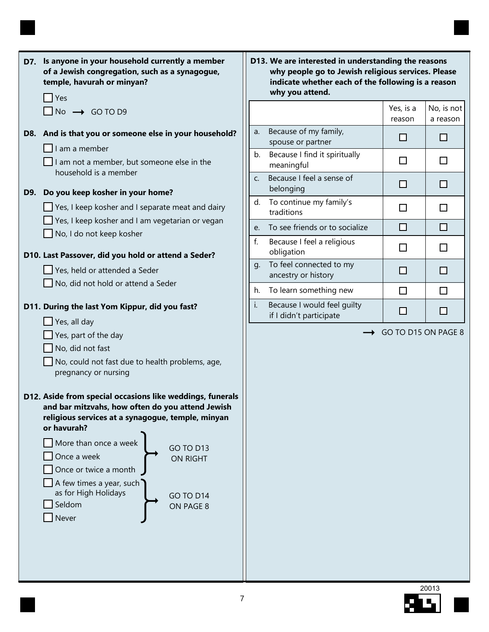|  | D7. Is anyone in your household currently a member<br>of a Jewish congregation, such as a synagogue,<br>temple, havurah or minyan?                                                |
|--|-----------------------------------------------------------------------------------------------------------------------------------------------------------------------------------|
|  | Yes<br>$\n $ No $\n $ GO TO D9                                                                                                                                                    |
|  | D8. And is that you or someone else in your household?<br>I am a member                                                                                                           |
|  | $\Box$ I am not a member, but someone else in the<br>household is a member                                                                                                        |
|  | D9. Do you keep kosher in your home?                                                                                                                                              |
|  | $\Box$ Yes, I keep kosher and I separate meat and dairy                                                                                                                           |
|  | $\Box$ Yes, I keep kosher and I am vegetarian or vegan                                                                                                                            |
|  | $\Box$ No, I do not keep kosher                                                                                                                                                   |
|  | D10. Last Passover, did you hold or attend a Seder?                                                                                                                               |
|  | Yes, held or attended a Seder                                                                                                                                                     |
|  | $\Box$ No, did not hold or attend a Seder                                                                                                                                         |
|  | D11. During the last Yom Kippur, did you fast?                                                                                                                                    |
|  | Yes, all day                                                                                                                                                                      |
|  | $\Box$ Yes, part of the day                                                                                                                                                       |
|  | No, did not fast                                                                                                                                                                  |
|  | No, could not fast due to health problems, age,                                                                                                                                   |
|  | pregnancy or nursing                                                                                                                                                              |
|  | D12. Aside from special occasions like weddings, funerals<br>and bar mitzvahs, how often do you attend Jewish<br>religious services at a synagogue, temple, minyan<br>or havurah? |
|  | More than once a week                                                                                                                                                             |
|  | <b>GO TO D13</b><br>Once a week                                                                                                                                                   |
|  | <b>ON RIGHT</b><br>Once or twice a month                                                                                                                                          |
|  | A few times a year, such                                                                                                                                                          |
|  | as for High Holidays<br><b>GO TO D14</b>                                                                                                                                          |
|  | Seldom<br>ON PAGE 8                                                                                                                                                               |
|  | Never                                                                                                                                                                             |
|  |                                                                                                                                                                                   |
|  |                                                                                                                                                                                   |
|  |                                                                                                                                                                                   |

**D13. We are interested in understanding the reasons why people go to Jewish religious services. Please indicate whether each of the following is a reason why you attend.**

|    |                                                        | Yes, is a<br>reason | No, is not<br>a reason |
|----|--------------------------------------------------------|---------------------|------------------------|
| a. | Because of my family,<br>spouse or partner             |                     |                        |
| b. | Because I find it spiritually<br>meaningful            |                     |                        |
| C. | Because I feel a sense of<br>belonging                 |                     |                        |
| d. | To continue my family's<br>traditions                  |                     |                        |
| e. | To see friends or to socialize                         |                     |                        |
| f. | Because I feel a religious<br>obligation               |                     |                        |
| g. | To feel connected to my<br>ancestry or history         |                     |                        |
| h. | To learn something new                                 |                     |                        |
| i. | Because I would feel quilty<br>if I didn't participate |                     |                        |

→ GO TO D15 ON PAGE 8

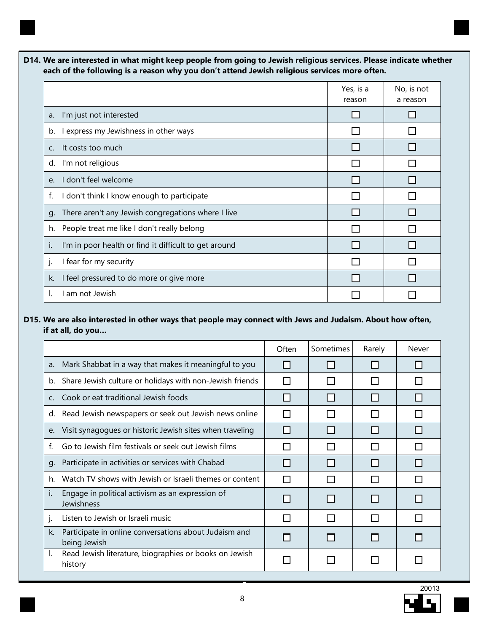

|                                                             | Yes, is a<br>reason | No, is not<br>a reason |
|-------------------------------------------------------------|---------------------|------------------------|
| I'm just not interested<br>a.                               |                     |                        |
| I express my Jewishness in other ways<br>b.                 |                     |                        |
| It costs too much<br>$C_{\cdot}$                            |                     |                        |
| I'm not religious<br>d.                                     |                     |                        |
| don't feel welcome<br>e <sub>1</sub>                        |                     |                        |
| I don't think I know enough to participate<br>f.            |                     |                        |
| There aren't any Jewish congregations where I live<br>g.    |                     |                        |
| People treat me like I don't really belong<br>h.            |                     |                        |
| I'm in poor health or find it difficult to get around<br>I. |                     |                        |
| I fear for my security                                      |                     |                        |
| I feel pressured to do more or give more<br>k.              |                     |                        |
| am not Jewish                                               |                     |                        |

## **D15. We are also interested in other ways that people may connect with Jews and Judaism. About how often, if at all, do you…**

|         |                                                                       | Often           | Sometimes | Rarely | Never |
|---------|-----------------------------------------------------------------------|-----------------|-----------|--------|-------|
| a.      | Mark Shabbat in a way that makes it meaningful to you                 |                 |           |        |       |
| b.      | Share Jewish culture or holidays with non-Jewish friends              |                 |           |        |       |
| $C_{1}$ | Cook or eat traditional Jewish foods                                  | H               |           |        |       |
| d.      | Read Jewish newspapers or seek out Jewish news online                 |                 |           |        |       |
| e.      | Visit synagogues or historic Jewish sites when traveling              |                 |           |        |       |
| f.      | Go to Jewish film festivals or seek out Jewish films                  | n l             |           |        |       |
| q.      | Participate in activities or services with Chabad                     |                 |           |        |       |
| h.      | Watch TV shows with Jewish or Israeli themes or content               | <b>Contract</b> |           |        |       |
|         | Engage in political activism as an expression of<br>Jewishness        |                 |           |        |       |
| ı.      | Listen to Jewish or Israeli music                                     | $\Box$          |           |        |       |
| k.      | Participate in online conversations about Judaism and<br>being Jewish |                 |           |        |       |
| L.      | Read Jewish literature, biographies or books on Jewish<br>history     |                 |           |        |       |

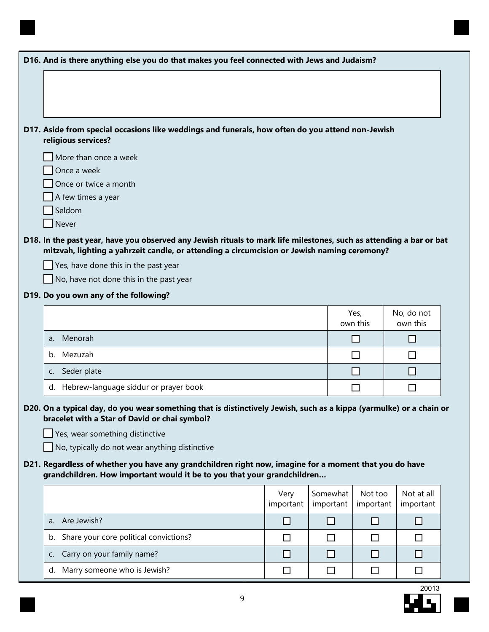| D16. And is there anything else you do that makes you feel connected with Jews and Judaism?                                                                                                                                                                                                                                                                                       |                   |                       |                      |                         |
|-----------------------------------------------------------------------------------------------------------------------------------------------------------------------------------------------------------------------------------------------------------------------------------------------------------------------------------------------------------------------------------|-------------------|-----------------------|----------------------|-------------------------|
|                                                                                                                                                                                                                                                                                                                                                                                   |                   |                       |                      |                         |
|                                                                                                                                                                                                                                                                                                                                                                                   |                   |                       |                      |                         |
|                                                                                                                                                                                                                                                                                                                                                                                   |                   |                       |                      |                         |
| D17. Aside from special occasions like weddings and funerals, how often do you attend non-Jewish                                                                                                                                                                                                                                                                                  |                   |                       |                      |                         |
| religious services?                                                                                                                                                                                                                                                                                                                                                               |                   |                       |                      |                         |
| More than once a week                                                                                                                                                                                                                                                                                                                                                             |                   |                       |                      |                         |
| Once a week<br>Once or twice a month                                                                                                                                                                                                                                                                                                                                              |                   |                       |                      |                         |
| A few times a year                                                                                                                                                                                                                                                                                                                                                                |                   |                       |                      |                         |
| Seldom                                                                                                                                                                                                                                                                                                                                                                            |                   |                       |                      |                         |
| Never                                                                                                                                                                                                                                                                                                                                                                             |                   |                       |                      |                         |
| D18. In the past year, have you observed any Jewish rituals to mark life milestones, such as attending a bar or bat<br>mitzvah, lighting a yahrzeit candle, or attending a circumcision or Jewish naming ceremony?                                                                                                                                                                |                   |                       |                      |                         |
| $\Box$ Yes, have done this in the past year                                                                                                                                                                                                                                                                                                                                       |                   |                       |                      |                         |
| $\Box$ No, have not done this in the past year                                                                                                                                                                                                                                                                                                                                    |                   |                       |                      |                         |
| D19. Do you own any of the following?                                                                                                                                                                                                                                                                                                                                             |                   |                       |                      |                         |
|                                                                                                                                                                                                                                                                                                                                                                                   |                   |                       | Yes,<br>own this     | No, do not<br>own this  |
| Menorah<br>a.                                                                                                                                                                                                                                                                                                                                                                     |                   |                       | □                    | H                       |
| Mezuzah<br>b.                                                                                                                                                                                                                                                                                                                                                                     |                   |                       | □                    | $\Box$                  |
| Seder plate<br>c.                                                                                                                                                                                                                                                                                                                                                                 |                   |                       | □                    | □                       |
| Hebrew-language siddur or prayer book<br>d.                                                                                                                                                                                                                                                                                                                                       |                   |                       | H                    | П                       |
| D20. On a typical day, do you wear something that is distinctively Jewish, such as a kippa (yarmulke) or a chain or<br>bracelet with a Star of David or chai symbol?<br>$\Box$ Yes, wear something distinctive<br>$\Box$ No, typically do not wear anything distinctive<br>D21. Regardless of whether you have any grandchildren right now, imagine for a moment that you do have |                   |                       |                      |                         |
|                                                                                                                                                                                                                                                                                                                                                                                   |                   |                       |                      |                         |
| grandchildren. How important would it be to you that your grandchildren                                                                                                                                                                                                                                                                                                           |                   |                       |                      |                         |
|                                                                                                                                                                                                                                                                                                                                                                                   | Very<br>important | Somewhat<br>important | Not too<br>important | Not at all<br>important |
| a. Are Jewish?                                                                                                                                                                                                                                                                                                                                                                    | □                 | □                     | □                    | $\Box$                  |
| Share your core political convictions?<br>b.                                                                                                                                                                                                                                                                                                                                      | П                 | □                     | □                    | $\Box$                  |
| Carry on your family name?<br>C.                                                                                                                                                                                                                                                                                                                                                  | □                 | $\Box$                | □                    | □                       |
| Marry someone who is Jewish?<br>d.                                                                                                                                                                                                                                                                                                                                                | $\Box$            | □                     | □                    | $\Box$                  |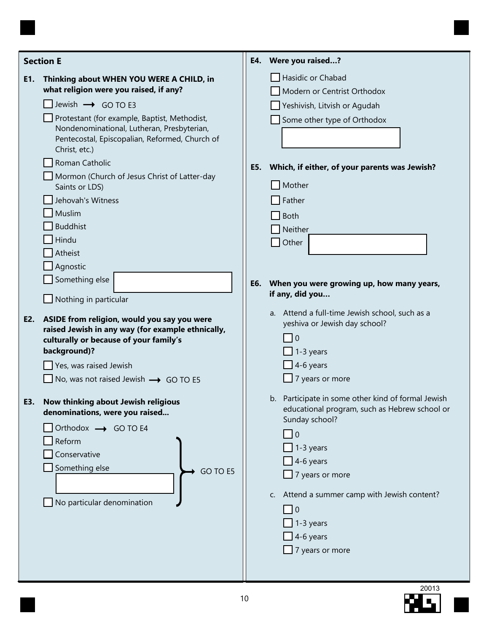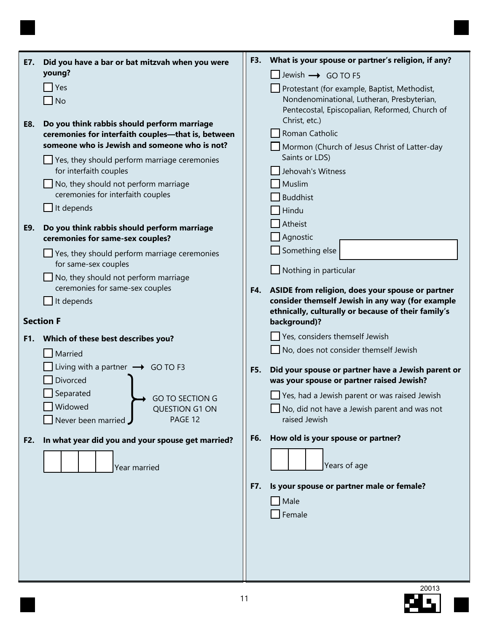| E7. | Did you have a bar or bat mitzvah when you were                                                   |     | F3. What is your spouse or partner's religion, if any?              |
|-----|---------------------------------------------------------------------------------------------------|-----|---------------------------------------------------------------------|
|     | young?                                                                                            |     | $\Box$ Jewish $\rightarrow$ GO TO F5                                |
|     | Yes                                                                                               |     | Protestant (for example, Baptist, Methodist,                        |
|     | N <sub>o</sub>                                                                                    |     | Nondenominational, Lutheran, Presbyterian,                          |
|     |                                                                                                   |     | Pentecostal, Episcopalian, Reformed, Church of<br>Christ, etc.)     |
| E8. | Do you think rabbis should perform marriage<br>ceremonies for interfaith couples-that is, between |     | Roman Catholic                                                      |
|     | someone who is Jewish and someone who is not?                                                     |     | Mormon (Church of Jesus Christ of Latter-day                        |
|     | Yes, they should perform marriage ceremonies                                                      |     | Saints or LDS)                                                      |
|     | for interfaith couples                                                                            |     | Jehovah's Witness                                                   |
|     | No, they should not perform marriage                                                              |     | Muslim                                                              |
|     | ceremonies for interfaith couples                                                                 |     | <b>Buddhist</b>                                                     |
|     | It depends                                                                                        |     | Hindu                                                               |
| E9. | Do you think rabbis should perform marriage                                                       |     | Atheist                                                             |
|     | ceremonies for same-sex couples?                                                                  |     | $\Box$ Agnostic                                                     |
|     | $\Box$ Yes, they should perform marriage ceremonies                                               |     | Something else                                                      |
|     | for same-sex couples<br>No, they should not perform marriage                                      |     | Nothing in particular                                               |
|     | ceremonies for same-sex couples                                                                   |     | F4. ASIDE from religion, does your spouse or partner                |
|     | It depends                                                                                        |     | consider themself Jewish in any way (for example                    |
|     | <b>Section F</b>                                                                                  |     | ethnically, culturally or because of their family's<br>background)? |
|     | F1. Which of these best describes you?                                                            |     | Yes, considers themself Jewish                                      |
|     | Married                                                                                           |     | No, does not consider themself Jewish                               |
|     | Living with a partner $\rightarrow$ GO TO F3                                                      | F5. | Did your spouse or partner have a Jewish parent or                  |
|     | Divorced                                                                                          |     | was your spouse or partner raised Jewish?                           |
|     | Separated<br><b>GO TO SECTION G</b>                                                               |     | $\Box$ Yes, had a Jewish parent or was raised Jewish                |
|     | Widowed<br>QUESTION G1 ON                                                                         |     | No, did not have a Jewish parent and was not                        |
|     | PAGE 12<br>Never been married                                                                     |     | raised Jewish                                                       |
| F2. | In what year did you and your spouse get married?                                                 | F6. | How old is your spouse or partner?                                  |
|     |                                                                                                   |     |                                                                     |
|     | Year married                                                                                      |     | Years of age                                                        |
|     |                                                                                                   | F7. | Is your spouse or partner male or female?                           |
|     |                                                                                                   |     | $\blacksquare$ Male                                                 |
|     |                                                                                                   |     | $\Box$ Female                                                       |
|     |                                                                                                   |     |                                                                     |
|     |                                                                                                   |     |                                                                     |
|     |                                                                                                   |     |                                                                     |
|     |                                                                                                   |     |                                                                     |
|     |                                                                                                   |     |                                                                     |

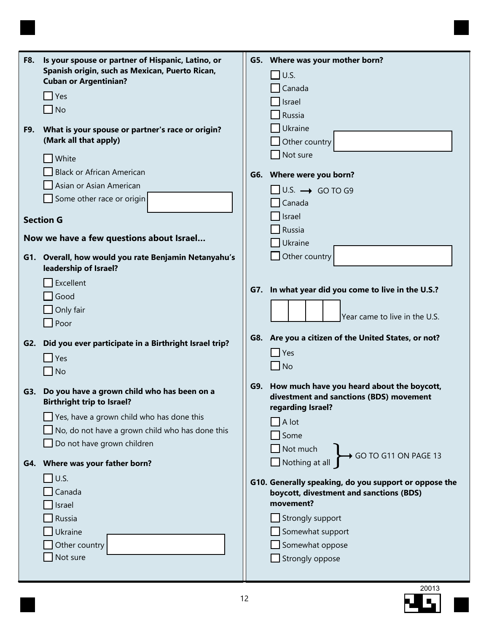| <b>F8.</b> | Is your spouse or partner of Hispanic, Latino, or<br>Spanish origin, such as Mexican, Puerto Rican,<br><b>Cuban or Argentinian?</b> |     | G5. Where was your mother born?<br>$\Box$ U.S.<br>Canada |
|------------|-------------------------------------------------------------------------------------------------------------------------------------|-----|----------------------------------------------------------|
|            | $\Box$ Yes                                                                                                                          |     | Israel                                                   |
|            | $\Box$ No                                                                                                                           |     | Russia                                                   |
|            |                                                                                                                                     |     | Ukraine                                                  |
| F9.        | What is your spouse or partner's race or origin?                                                                                    |     |                                                          |
|            | (Mark all that apply)                                                                                                               |     | Other country                                            |
|            | White                                                                                                                               |     | Not sure                                                 |
|            | <b>Black or African American</b>                                                                                                    |     | G6. Where were you born?                                 |
|            | Asian or Asian American                                                                                                             |     |                                                          |
|            | Some other race or origin                                                                                                           |     | $\Box$ U.S. $\rightarrow$ GO TO G9                       |
|            |                                                                                                                                     |     | Canada                                                   |
|            | <b>Section G</b>                                                                                                                    |     | Israel                                                   |
|            |                                                                                                                                     |     | Russia                                                   |
|            | Now we have a few questions about Israel                                                                                            |     | Ukraine                                                  |
|            | G1. Overall, how would you rate Benjamin Netanyahu's                                                                                |     | Other country                                            |
|            | leadership of Israel?                                                                                                               |     |                                                          |
|            |                                                                                                                                     |     |                                                          |
|            | Excellent                                                                                                                           | G7. | In what year did you come to live in the U.S.?           |
|            | Good                                                                                                                                |     |                                                          |
|            | Only fair                                                                                                                           |     | Year came to live in the U.S.                            |
|            | $\Box$ Poor                                                                                                                         |     |                                                          |
|            |                                                                                                                                     |     | G8. Are you a citizen of the United States, or not?      |
|            | G2. Did you ever participate in a Birthright Israel trip?                                                                           |     | $\Box$ Yes                                               |
|            | $\Box$ Yes                                                                                                                          |     |                                                          |
|            | $\Box$ No                                                                                                                           |     | $\Box$ No                                                |
|            |                                                                                                                                     | G9. | How much have you heard about the boycott,               |
|            | G3. Do you have a grown child who has been on a                                                                                     |     | divestment and sanctions (BDS) movement                  |
|            | <b>Birthright trip to Israel?</b>                                                                                                   |     | regarding Israel?                                        |
|            | Yes, have a grown child who has done this                                                                                           |     | $\Box$ A lot                                             |
|            | $\Box$ No, do not have a grown child who has done this                                                                              |     | Some                                                     |
|            | Do not have grown children                                                                                                          |     | Not much                                                 |
|            |                                                                                                                                     |     | GO TO G11 ON PAGE 13                                     |
|            | G4. Where was your father born?                                                                                                     |     | Nothing at all                                           |
|            | $\Box$ U.S.                                                                                                                         |     | G10. Generally speaking, do you support or oppose the    |
|            | Canada                                                                                                                              |     | boycott, divestment and sanctions (BDS)                  |
|            | Israel                                                                                                                              |     | movement?                                                |
|            | Russia                                                                                                                              |     | $\Box$ Strongly support                                  |
|            | Ukraine                                                                                                                             |     | Somewhat support                                         |
|            | Other country                                                                                                                       |     | Somewhat oppose                                          |
|            |                                                                                                                                     |     |                                                          |
|            | Not sure                                                                                                                            |     | Strongly oppose                                          |
|            |                                                                                                                                     |     |                                                          |

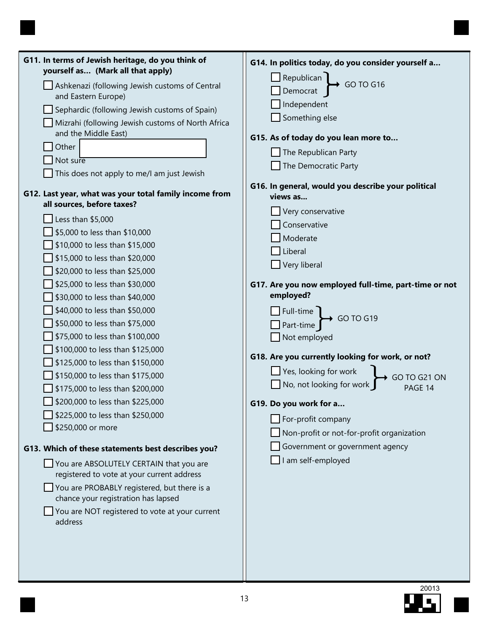| G11. In terms of Jewish heritage, do you think of<br>yourself as (Mark all that apply) | G14. In politics today, do you consider yourself a                                                 |
|----------------------------------------------------------------------------------------|----------------------------------------------------------------------------------------------------|
| Ashkenazi (following Jewish customs of Central<br>and Eastern Europe)                  | Republican<br>Democrat<br>$\rightarrow$ GO TO G16                                                  |
| Sephardic (following Jewish customs of Spain)                                          | Independent                                                                                        |
| Mizrahi (following Jewish customs of North Africa                                      | Something else                                                                                     |
| and the Middle East)                                                                   | G15. As of today do you lean more to                                                               |
| Other                                                                                  | The Republican Party                                                                               |
| Not sure                                                                               | The Democratic Party                                                                               |
| This does not apply to me/I am just Jewish                                             |                                                                                                    |
| G12. Last year, what was your total family income from<br>all sources, before taxes?   | G16. In general, would you describe your political<br>views as                                     |
|                                                                                        | Very conservative                                                                                  |
| Less than \$5,000<br>\$5,000 to less than \$10,000                                     | Conservative                                                                                       |
| \$10,000 to less than \$15,000                                                         | Moderate                                                                                           |
| \$15,000 to less than \$20,000                                                         | Liberal                                                                                            |
| \$20,000 to less than \$25,000                                                         | Very liberal                                                                                       |
| \$25,000 to less than \$30,000                                                         | G17. Are you now employed full-time, part-time or not                                              |
| \$30,000 to less than \$40,000                                                         | employed?                                                                                          |
| \$40,000 to less than \$50,000                                                         |                                                                                                    |
| \$50,000 to less than \$75,000                                                         | $\Box$ Full-time<br>$\Box$ Part-time                                                               |
| \$75,000 to less than \$100,000                                                        | Not employed                                                                                       |
| \$100,000 to less than \$125,000                                                       |                                                                                                    |
| \$125,000 to less than \$150,000                                                       | G18. Are you currently looking for work, or not?                                                   |
| \$150,000 to less than \$175,000                                                       | Yes, looking for work<br>  No, not looking for work _<br>$\leftrightarrow$ GO TO G21 ON<br>PAGE 14 |
| \$175,000 to less than \$200,000                                                       |                                                                                                    |
| \$200,000 to less than \$225,000                                                       | G19. Do you work for a                                                                             |
| \$225,000 to less than \$250,000                                                       | For-profit company                                                                                 |
| \$250,000 or more                                                                      | Non-profit or not-for-profit organization                                                          |
| G13. Which of these statements best describes you?                                     | Government or government agency                                                                    |
| You are ABSOLUTELY CERTAIN that you are                                                | I am self-employed                                                                                 |
| registered to vote at your current address                                             |                                                                                                    |
| You are PROBABLY registered, but there is a<br>chance your registration has lapsed     |                                                                                                    |
| You are NOT registered to vote at your current<br>address                              |                                                                                                    |
|                                                                                        |                                                                                                    |
|                                                                                        |                                                                                                    |
|                                                                                        |                                                                                                    |
|                                                                                        |                                                                                                    |

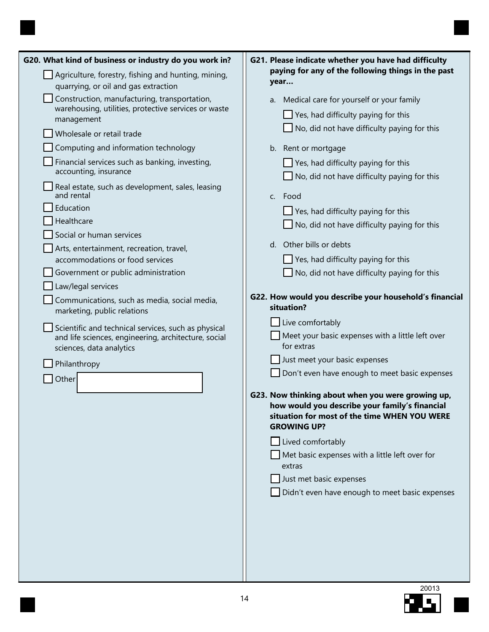| G20. What kind of business or industry do you work in?                                                                                                                                                                                                                                                                                                                                                                                                                                                                                                                                                                                                                                                                                                                                                                                            | G21. Please indicate whether you have had difficulty                                                                                                                                                                                                                                                                                                                                                                                                                                                                                                                                                                                                                                                                                                                                                                                                                                                                                                                                                                                                                                                                                         |
|---------------------------------------------------------------------------------------------------------------------------------------------------------------------------------------------------------------------------------------------------------------------------------------------------------------------------------------------------------------------------------------------------------------------------------------------------------------------------------------------------------------------------------------------------------------------------------------------------------------------------------------------------------------------------------------------------------------------------------------------------------------------------------------------------------------------------------------------------|----------------------------------------------------------------------------------------------------------------------------------------------------------------------------------------------------------------------------------------------------------------------------------------------------------------------------------------------------------------------------------------------------------------------------------------------------------------------------------------------------------------------------------------------------------------------------------------------------------------------------------------------------------------------------------------------------------------------------------------------------------------------------------------------------------------------------------------------------------------------------------------------------------------------------------------------------------------------------------------------------------------------------------------------------------------------------------------------------------------------------------------------|
| quarrying, or oil and gas extraction                                                                                                                                                                                                                                                                                                                                                                                                                                                                                                                                                                                                                                                                                                                                                                                                              | year                                                                                                                                                                                                                                                                                                                                                                                                                                                                                                                                                                                                                                                                                                                                                                                                                                                                                                                                                                                                                                                                                                                                         |
| Agriculture, forestry, fishing and hunting, mining,<br>Construction, manufacturing, transportation,<br>warehousing, utilities, protective services or waste<br>management<br>Wholesale or retail trade<br>Computing and information technology<br>Financial services such as banking, investing,<br>accounting, insurance<br>Real estate, such as development, sales, leasing<br>and rental<br>Education<br>Healthcare<br>Social or human services<br>Arts, entertainment, recreation, travel,<br>accommodations or food services<br>Government or public administration<br>Law/legal services<br>Communications, such as media, social media,<br>marketing, public relations<br>Scientific and technical services, such as physical<br>and life sciences, engineering, architecture, social<br>sciences, data analytics<br>Philanthropy<br>Other | paying for any of the following things in the past<br>a. Medical care for yourself or your family<br>$\Box$ Yes, had difficulty paying for this<br>$\Box$ No, did not have difficulty paying for this<br>b. Rent or mortgage<br>$\Box$ Yes, had difficulty paying for this<br>$\Box$ No, did not have difficulty paying for this<br>c. Food<br>$\Box$ Yes, had difficulty paying for this<br>$\Box$ No, did not have difficulty paying for this<br>d. Other bills or debts<br>$\Box$ Yes, had difficulty paying for this<br>$\Box$ No, did not have difficulty paying for this<br>G22. How would you describe your household's financial<br>situation?<br>Live comfortably<br>$\Box$ Meet your basic expenses with a little left over<br>for extras<br>Just meet your basic expenses<br>Don't even have enough to meet basic expenses<br>G23. Now thinking about when you were growing up,<br>how would you describe your family's financial<br>situation for most of the time WHEN YOU WERE<br><b>GROWING UP?</b><br>$\Box$ Lived comfortably<br>$\Box$ Met basic expenses with a little left over for<br>extras<br>Just met basic expenses |
|                                                                                                                                                                                                                                                                                                                                                                                                                                                                                                                                                                                                                                                                                                                                                                                                                                                   |                                                                                                                                                                                                                                                                                                                                                                                                                                                                                                                                                                                                                                                                                                                                                                                                                                                                                                                                                                                                                                                                                                                                              |
|                                                                                                                                                                                                                                                                                                                                                                                                                                                                                                                                                                                                                                                                                                                                                                                                                                                   | Didn't even have enough to meet basic expenses                                                                                                                                                                                                                                                                                                                                                                                                                                                                                                                                                                                                                                                                                                                                                                                                                                                                                                                                                                                                                                                                                               |
|                                                                                                                                                                                                                                                                                                                                                                                                                                                                                                                                                                                                                                                                                                                                                                                                                                                   |                                                                                                                                                                                                                                                                                                                                                                                                                                                                                                                                                                                                                                                                                                                                                                                                                                                                                                                                                                                                                                                                                                                                              |

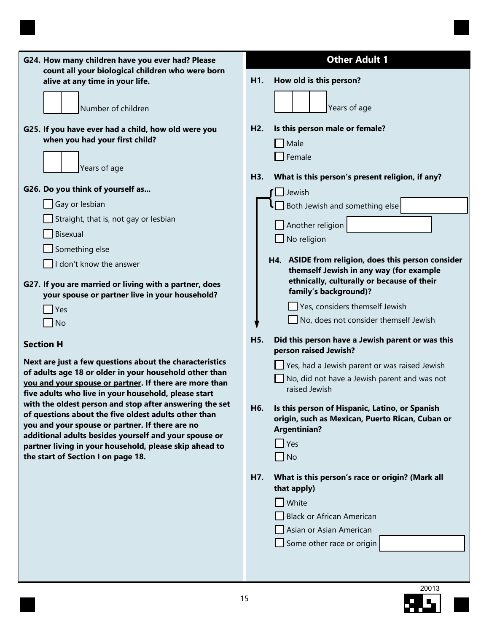| G24. How many children have you ever had? Please<br>count all your biological children who were born                                                               | <b>Other Adult 1</b>                                                                                                                         |
|--------------------------------------------------------------------------------------------------------------------------------------------------------------------|----------------------------------------------------------------------------------------------------------------------------------------------|
| alive at any time in your life.                                                                                                                                    | How old is this person?<br>H <sub>1</sub> .                                                                                                  |
| Number of children                                                                                                                                                 | Years of age                                                                                                                                 |
| G25. If you have ever had a child, how old were you                                                                                                                | Is this person male or female?<br>H <sub>2</sub> .                                                                                           |
| when you had your first child?                                                                                                                                     | Male                                                                                                                                         |
| Years of age                                                                                                                                                       | Female<br>H3.<br>What is this person's present religion, if any?                                                                             |
| G26. Do you think of yourself as                                                                                                                                   |                                                                                                                                              |
| Gay or lesbian                                                                                                                                                     | Jewish                                                                                                                                       |
| Straight, that is, not gay or lesbian                                                                                                                              | $\Box$ Both Jewish and something else                                                                                                        |
|                                                                                                                                                                    | Another religion                                                                                                                             |
| Bisexual                                                                                                                                                           | No religion                                                                                                                                  |
| Something else                                                                                                                                                     | H4. ASIDE from religion, does this person consider                                                                                           |
| I don't know the answer                                                                                                                                            | themself Jewish in any way (for example                                                                                                      |
| G27. If you are married or living with a partner, does                                                                                                             | ethnically, culturally or because of their                                                                                                   |
| your spouse or partner live in your household?                                                                                                                     | family's background)?                                                                                                                        |
| Yes                                                                                                                                                                | Yes, considers themself Jewish                                                                                                               |
| $\overline{\phantom{a}}$ No                                                                                                                                        | No, does not consider themself Jewish                                                                                                        |
| <b>Section H</b>                                                                                                                                                   | H <sub>5</sub> .<br>Did this person have a Jewish parent or was this<br>person raised Jewish?                                                |
| Next are just a few questions about the characteristics                                                                                                            | Yes, had a Jewish parent or was raised Jewish                                                                                                |
| of adults age 18 or older in your household other than<br>you and your spouse or partner. If there are more than                                                   | $\Box$ No, did not have a Jewish parent and was not                                                                                          |
| five adults who live in your household, please start                                                                                                               | raised Jewish                                                                                                                                |
| with the oldest person and stop after answering the set<br>of questions about the five oldest adults other than<br>you and your spouse or partner. If there are no | Is this person of Hispanic, Latino, or Spanish<br>H <sub>6</sub> .<br>origin, such as Mexican, Puerto Rican, Cuban or<br><b>Argentinian?</b> |
| additional adults besides yourself and your spouse or<br>partner living in your household, please skip ahead to                                                    | $\blacksquare$ Yes                                                                                                                           |
| the start of Section I on page 18.                                                                                                                                 | $\Box$ No                                                                                                                                    |
|                                                                                                                                                                    |                                                                                                                                              |
|                                                                                                                                                                    | H7.<br>What is this person's race or origin? (Mark all<br>that apply)                                                                        |
|                                                                                                                                                                    | White                                                                                                                                        |
|                                                                                                                                                                    | <b>Black or African American</b>                                                                                                             |
|                                                                                                                                                                    | Asian or Asian American                                                                                                                      |
|                                                                                                                                                                    | Some other race or origin                                                                                                                    |
|                                                                                                                                                                    |                                                                                                                                              |
|                                                                                                                                                                    |                                                                                                                                              |
|                                                                                                                                                                    |                                                                                                                                              |

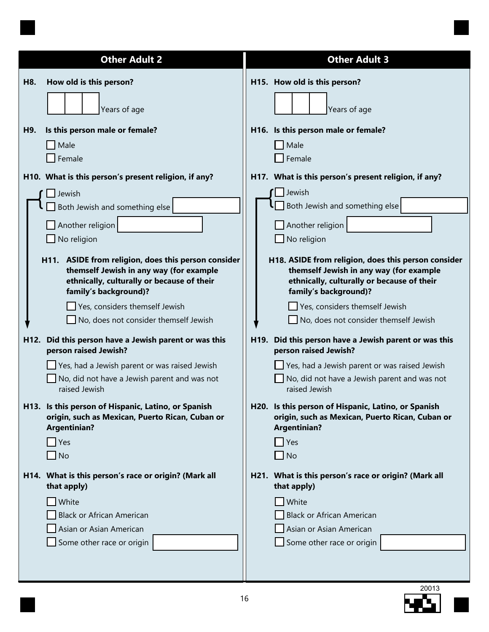|            | <b>Other Adult 2</b>                                                                                                                                                                                                                                                                                                                                                                                                                            | <b>Other Adult 3</b>                                                                                                                                                                                                                                                                                                                                                                                                                                        |
|------------|-------------------------------------------------------------------------------------------------------------------------------------------------------------------------------------------------------------------------------------------------------------------------------------------------------------------------------------------------------------------------------------------------------------------------------------------------|-------------------------------------------------------------------------------------------------------------------------------------------------------------------------------------------------------------------------------------------------------------------------------------------------------------------------------------------------------------------------------------------------------------------------------------------------------------|
| H8.<br>H9. | How old is this person?<br>Years of age<br>Is this person male or female?<br>Male                                                                                                                                                                                                                                                                                                                                                               | H15. How old is this person?<br>Years of age<br>H16. Is this person male or female?<br>Male                                                                                                                                                                                                                                                                                                                                                                 |
|            | $\mathsf{T}$ Female<br>H10. What is this person's present religion, if any?<br>Jewish<br>Both Jewish and something else<br>$\Box$ Another religion<br>No religion                                                                                                                                                                                                                                                                               | Female<br>H17. What is this person's present religion, if any?<br>Jewish<br>Both Jewish and something else<br>Another religion<br>No religion                                                                                                                                                                                                                                                                                                               |
| H12.       | H11. ASIDE from religion, does this person consider<br>themself Jewish in any way (for example<br>ethnically, culturally or because of their<br>family's background)?<br>Yes, considers themself Jewish<br>No, does not consider themself Jewish<br>Did this person have a Jewish parent or was this<br>person raised Jewish?<br>Yes, had a Jewish parent or was raised Jewish<br>No, did not have a Jewish parent and was not<br>raised Jewish | H18. ASIDE from religion, does this person consider<br>themself Jewish in any way (for example<br>ethnically, culturally or because of their<br>family's background)?<br>Yes, considers themself Jewish<br>No, does not consider themself Jewish<br>H19. Did this person have a Jewish parent or was this<br>person raised Jewish?<br>Yes, had a Jewish parent or was raised Jewish<br>$\Box$ No, did not have a Jewish parent and was not<br>raised Jewish |
|            | H13. Is this person of Hispanic, Latino, or Spanish<br>origin, such as Mexican, Puerto Rican, Cuban or<br><b>Argentinian?</b><br>$\blacksquare$ Yes<br>$\Box$ No                                                                                                                                                                                                                                                                                | H20. Is this person of Hispanic, Latino, or Spanish<br>origin, such as Mexican, Puerto Rican, Cuban or<br><b>Argentinian?</b><br>Yes<br>$\blacksquare$ No                                                                                                                                                                                                                                                                                                   |
|            | H14. What is this person's race or origin? (Mark all<br>that apply)<br>White<br><b>Black or African American</b><br>Asian or Asian American<br>Some other race or origin                                                                                                                                                                                                                                                                        | H21. What is this person's race or origin? (Mark all<br>that apply)<br>White<br><b>Black or African American</b><br>Asian or Asian American<br>Some other race or origin                                                                                                                                                                                                                                                                                    |

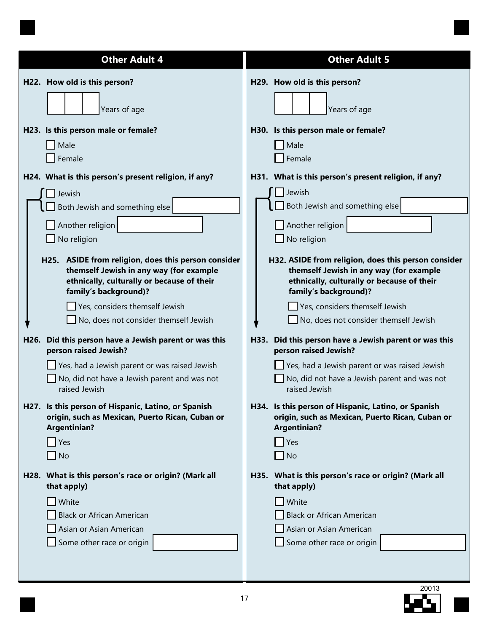| <b>Other Adult 4</b>                                                                                                                                                                                             | <b>Other Adult 5</b>                                                                                                                                                                             |
|------------------------------------------------------------------------------------------------------------------------------------------------------------------------------------------------------------------|--------------------------------------------------------------------------------------------------------------------------------------------------------------------------------------------------|
| H22. How old is this person?                                                                                                                                                                                     | H29. How old is this person?                                                                                                                                                                     |
| Years of age                                                                                                                                                                                                     | Years of age                                                                                                                                                                                     |
| H23. Is this person male or female?<br>Male<br>Female                                                                                                                                                            | Is this person male or female?<br>H30.<br>Male<br>Female                                                                                                                                         |
| H24. What is this person's present religion, if any?                                                                                                                                                             | H31. What is this person's present religion, if any?                                                                                                                                             |
| Jewish                                                                                                                                                                                                           | $\Box$ Jewish                                                                                                                                                                                    |
| Both Jewish and something else                                                                                                                                                                                   | Both Jewish and something else                                                                                                                                                                   |
| Another religion                                                                                                                                                                                                 | $\Box$ Another religion                                                                                                                                                                          |
| No religion                                                                                                                                                                                                      | $\Box$ No religion                                                                                                                                                                               |
| H25. ASIDE from religion, does this person consider                                                                                                                                                              | H32. ASIDE from religion, does this person consider                                                                                                                                              |
| themself Jewish in any way (for example                                                                                                                                                                          | themself Jewish in any way (for example                                                                                                                                                          |
| ethnically, culturally or because of their                                                                                                                                                                       | ethnically, culturally or because of their                                                                                                                                                       |
| family's background)?                                                                                                                                                                                            | family's background)?                                                                                                                                                                            |
| Yes, considers themself Jewish                                                                                                                                                                                   | Yes, considers themself Jewish                                                                                                                                                                   |
| $\Box$ No, does not consider themself Jewish                                                                                                                                                                     | No, does not consider themself Jewish                                                                                                                                                            |
| Did this person have a Jewish parent or was this<br>H <sub>26</sub> .<br>person raised Jewish?<br>Yes, had a Jewish parent or was raised Jewish<br>No, did not have a Jewish parent and was not<br>raised Jewish | H33. Did this person have a Jewish parent or was this<br>person raised Jewish?<br>Yes, had a Jewish parent or was raised Jewish<br>No, did not have a Jewish parent and was not<br>raised Jewish |
| H27. Is this person of Hispanic, Latino, or Spanish                                                                                                                                                              | H34. Is this person of Hispanic, Latino, or Spanish                                                                                                                                              |
| origin, such as Mexican, Puerto Rican, Cuban or                                                                                                                                                                  | origin, such as Mexican, Puerto Rican, Cuban or                                                                                                                                                  |
| <b>Argentinian?</b>                                                                                                                                                                                              | <b>Argentinian?</b>                                                                                                                                                                              |
| Yes                                                                                                                                                                                                              | Yes                                                                                                                                                                                              |
| $\blacksquare$ No                                                                                                                                                                                                | $\Box$ No                                                                                                                                                                                        |
| H28. What is this person's race or origin? (Mark all                                                                                                                                                             | H35. What is this person's race or origin? (Mark all                                                                                                                                             |
| that apply)                                                                                                                                                                                                      | that apply)                                                                                                                                                                                      |
| White                                                                                                                                                                                                            | White                                                                                                                                                                                            |
| <b>Black or African American</b>                                                                                                                                                                                 | <b>Black or African American</b>                                                                                                                                                                 |
| Asian or Asian American                                                                                                                                                                                          | Asian or Asian American                                                                                                                                                                          |
| Some other race or origin                                                                                                                                                                                        | $\Box$ Some other race or origin                                                                                                                                                                 |

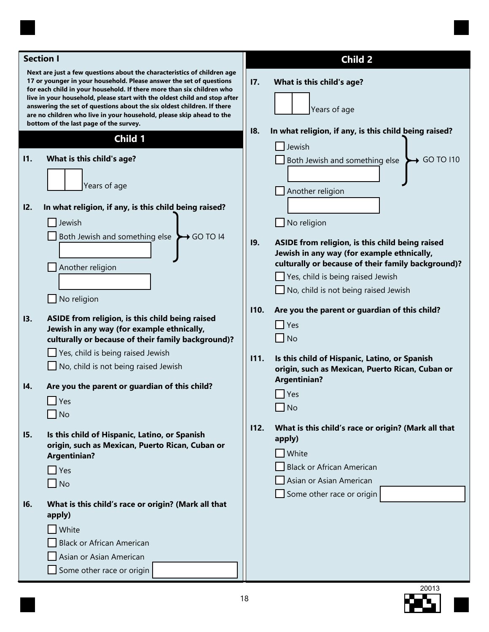| <b>Section I</b>                                                                                                                                                                                                                                                                                                                                                                                                                                                                                 |                                                                                                                                                                                          | <b>Child 2</b> |                                                                                                                                                                                                                                  |  |
|--------------------------------------------------------------------------------------------------------------------------------------------------------------------------------------------------------------------------------------------------------------------------------------------------------------------------------------------------------------------------------------------------------------------------------------------------------------------------------------------------|------------------------------------------------------------------------------------------------------------------------------------------------------------------------------------------|----------------|----------------------------------------------------------------------------------------------------------------------------------------------------------------------------------------------------------------------------------|--|
| Next are just a few questions about the characteristics of children age<br>17 or younger in your household. Please answer the set of questions<br>for each child in your household. If there more than six children who<br>live in your household, please start with the oldest child and stop after<br>answering the set of questions about the six oldest children. If there<br>are no children who live in your household, please skip ahead to the<br>bottom of the last page of the survey. |                                                                                                                                                                                          | 17.            | What is this child's age?<br>Years of age                                                                                                                                                                                        |  |
|                                                                                                                                                                                                                                                                                                                                                                                                                                                                                                  | Child 1                                                                                                                                                                                  | 18.            | In what religion, if any, is this child being raised?                                                                                                                                                                            |  |
| 11.                                                                                                                                                                                                                                                                                                                                                                                                                                                                                              | What is this child's age?<br>Years of age                                                                                                                                                |                | Jewish<br>Both Jewish and something else<br>GO TO 110                                                                                                                                                                            |  |
| 12.                                                                                                                                                                                                                                                                                                                                                                                                                                                                                              | In what religion, if any, is this child being raised?<br>Jewish                                                                                                                          |                | Another religion<br>No religion                                                                                                                                                                                                  |  |
|                                                                                                                                                                                                                                                                                                                                                                                                                                                                                                  | Both Jewish and something else<br>$\rightarrow$ GO TO 14<br>Another religion<br>No religion                                                                                              | 19.            | ASIDE from religion, is this child being raised<br>Jewish in any way (for example ethnically,<br>culturally or because of their family background)?<br>Yes, child is being raised Jewish<br>No, child is not being raised Jewish |  |
| 13.                                                                                                                                                                                                                                                                                                                                                                                                                                                                                              | ASIDE from religion, is this child being raised<br>Jewish in any way (for example ethnically,<br>culturally or because of their family background)?<br>Yes, child is being raised Jewish | 110.<br>111.   | Are you the parent or guardian of this child?<br>$\Box$ Yes<br>$\Box$ No<br>Is this child of Hispanic, Latino, or Spanish                                                                                                        |  |
| 14.                                                                                                                                                                                                                                                                                                                                                                                                                                                                                              | No, child is not being raised Jewish<br>Are you the parent or guardian of this child?<br>$\Box$ Yes<br>$\overline{\phantom{a}}$ No                                                       |                | origin, such as Mexican, Puerto Rican, Cuban or<br><b>Argentinian?</b><br>$\Box$ Yes<br>$\Box$ No                                                                                                                                |  |
| <b>I5.</b>                                                                                                                                                                                                                                                                                                                                                                                                                                                                                       | Is this child of Hispanic, Latino, or Spanish<br>origin, such as Mexican, Puerto Rican, Cuban or<br><b>Argentinian?</b><br>Yes<br><b>No</b><br>$\mathbf{I}$                              | 112.           | What is this child's race or origin? (Mark all that<br>apply)<br><b>White</b><br><b>Black or African American</b><br>Asian or Asian American                                                                                     |  |
| <b>16.</b>                                                                                                                                                                                                                                                                                                                                                                                                                                                                                       | What is this child's race or origin? (Mark all that<br>apply)<br>White<br><b>Black or African American</b><br>Asian or Asian American<br>Some other race or origin                       |                | Some other race or origin                                                                                                                                                                                                        |  |

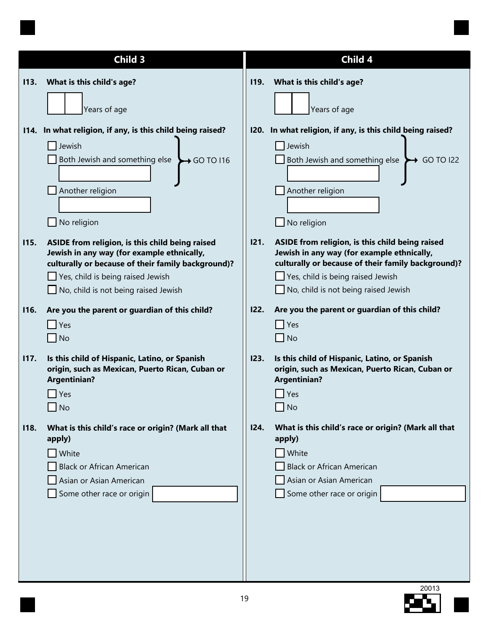|             | Child 3                                                                                                                                                                                                                          |             | Child 4                                                                                                                                                                                                                          |
|-------------|----------------------------------------------------------------------------------------------------------------------------------------------------------------------------------------------------------------------------------|-------------|----------------------------------------------------------------------------------------------------------------------------------------------------------------------------------------------------------------------------------|
| 113.        | What is this child's age?                                                                                                                                                                                                        | <b>119.</b> | What is this child's age?                                                                                                                                                                                                        |
|             | Years of age                                                                                                                                                                                                                     |             | Years of age                                                                                                                                                                                                                     |
|             | 114. In what religion, if any, is this child being raised?                                                                                                                                                                       | 120.        | In what religion, if any, is this child being raised?                                                                                                                                                                            |
|             | Jewish<br>Both Jewish and something else<br>$\rightarrow$ GO TO 116<br>Another religion<br>No religion                                                                                                                           |             | Jewish<br>Both Jewish and something else<br>$\rightarrow$ GO TO I22<br>Another religion<br>No religion                                                                                                                           |
| <b>115.</b> | ASIDE from religion, is this child being raised<br>Jewish in any way (for example ethnically,<br>culturally or because of their family background)?<br>Yes, child is being raised Jewish<br>No, child is not being raised Jewish | 121.        | ASIDE from religion, is this child being raised<br>Jewish in any way (for example ethnically,<br>culturally or because of their family background)?<br>Yes, child is being raised Jewish<br>No, child is not being raised Jewish |
| <b>116.</b> | Are you the parent or guardian of this child?<br>Yes                                                                                                                                                                             | 122.        | Are you the parent or guardian of this child?<br>Yes                                                                                                                                                                             |
|             | <b>No</b>                                                                                                                                                                                                                        |             | $\overline{\phantom{a}}$ No                                                                                                                                                                                                      |
| <b>117.</b> | Is this child of Hispanic, Latino, or Spanish<br>origin, such as Mexican, Puerto Rican, Cuban or<br><b>Argentinian?</b><br>Yes<br><b>No</b>                                                                                      | 123.        | Is this child of Hispanic, Latino, or Spanish<br>origin, such as Mexican, Puerto Rican, Cuban or<br><b>Argentinian?</b><br>Yes<br><b>No</b><br>$\blacksquare$                                                                    |
| <b>I18.</b> | What is this child's race or origin? (Mark all that<br>apply)<br>White<br><b>Black or African American</b><br>Asian or Asian American<br>Some other race or origin                                                               | I24.        | What is this child's race or origin? (Mark all that<br>apply)<br><b>White</b><br><b>Black or African American</b><br>Asian or Asian American<br>Some other race or origin                                                        |